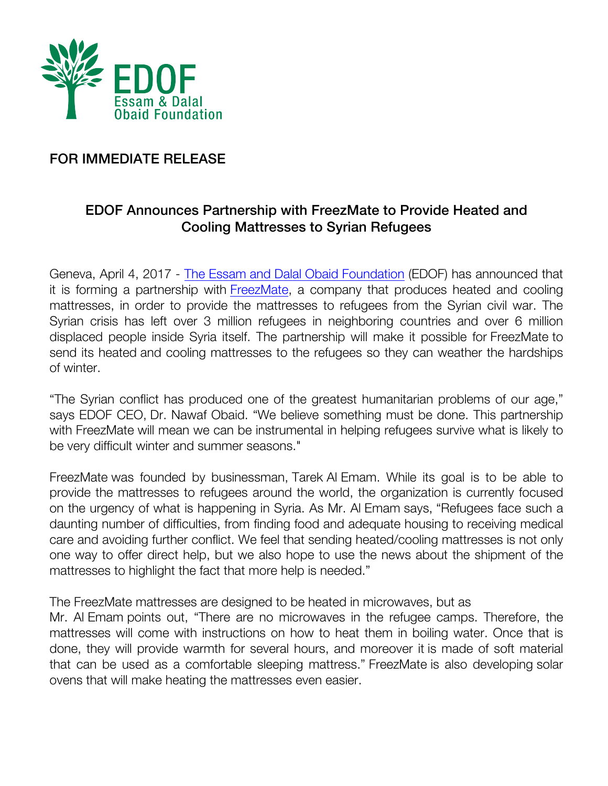

## FOR IMMEDIATE RELEASE

## EDOF Announces Partnership with FreezMate to Provide Heated and Cooling Mattresses to Syrian Refugees

Geneva, April 4, 2017 - The Essam and Dalal Obaid Foundation (EDOF) has announced that it is forming a partnership with FreezMate, a company that produces heated and cooling mattresses, in order to provide the mattresses to refugees from the Syrian civil war. The Syrian crisis has left over 3 million refugees in neighboring countries and over 6 million displaced people inside Syria itself. The partnership will make it possible for FreezMate to send its heated and cooling mattresses to the refugees so they can weather the hardships of winter.

"The Syrian conflict has produced one of the greatest humanitarian problems of our age," says EDOF CEO, Dr. Nawaf Obaid. "We believe something must be done. This partnership with FreezMate will mean we can be instrumental in helping refugees survive what is likely to be very difficult winter and summer seasons."

FreezMate was founded by businessman, Tarek Al Emam. While its goal is to be able to provide the mattresses to refugees around the world, the organization is currently focused on the urgency of what is happening in Syria. As Mr. Al Emam says, "Refugees face such a daunting number of difficulties, from finding food and adequate housing to receiving medical care and avoiding further conflict. We feel that sending heated/cooling mattresses is not only one way to offer direct help, but we also hope to use the news about the shipment of the mattresses to highlight the fact that more help is needed."

The FreezMate mattresses are designed to be heated in microwaves, but as

Mr. Al Emam points out, "There are no microwaves in the refugee camps. Therefore, the mattresses will come with instructions on how to heat them in boiling water. Once that is done, they will provide warmth for several hours, and moreover it is made of soft material that can be used as a comfortable sleeping mattress." FreezMate is also developing solar ovens that will make heating the mattresses even easier.